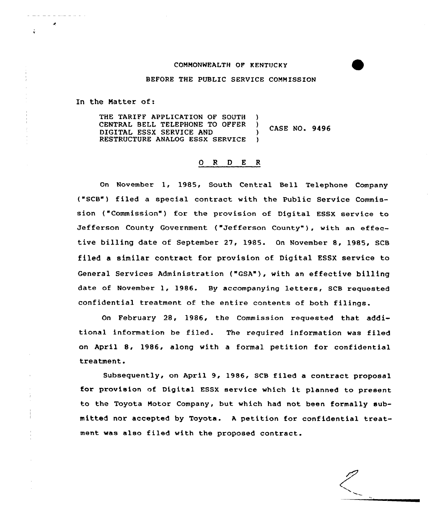## COMMONWEALTH OF KENTUCKY

BEFORE THE PUBLIC SERVICE COMMISSION

In the Matter of:

THE TARIFF APPLICATION OF SOUTH )<br>CENTRAL BELL TELEPHONE TO OFFER ) CENTRAL BELL TELEPHONE TO OFFER )<br>DIGITAL ESSX SERVICE AND ) CASE NO. 9496<br>RESTRUCTURE ANALOG ESSX SERVICE ) RESTRUCTURE ANALOG ESSX SERVICE

## 0 <sup>R</sup> <sup>D</sup> <sup>E</sup> <sup>R</sup>

On November 1, 1985, Sauth Centxal Bell Telephone Company ("SCB") filed a special contxact with the Public Service Commission ("Commission") for the provision of Digital ESSX service to Jefferson County Government ("Jefferson County"), with an effective billing date of September 27, 1985. On November 8, 1985, SCB filed a similar contract for provision of Digital ESSX service to General Services Administration ("GSA"), with an effective billing date of November 1, 1986. By accompanying letters, SCB requested confidential treatment of the entire contents af bath filings.

On February 28, 1986, the Commission requested that additicnal information be filed. The required information was filed on April 8, 1986, along with a formal petition for confidential treatment.

Subsequently, on April 9, 1986, SCB filed a contract pxoposal for provision of Digital ESSX service which it planned to present to the Toyota Motor Company, but which had not been formally submitted nor accepted by Toyota. <sup>A</sup> petition for confidential treatment was also filed with the proposed contract.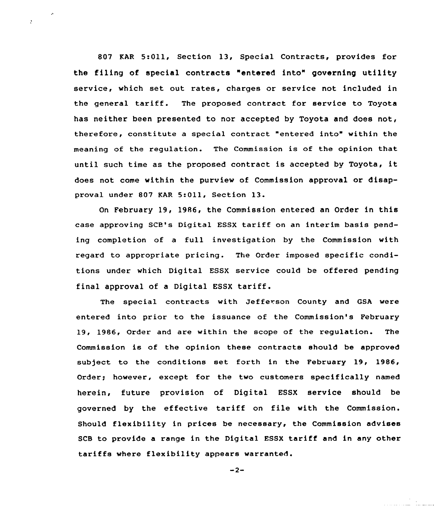807 KAR 5:Oll, Section 13, Special Contracts, provides for the filing of special contracts "entered into" governing utility service, which set out rates, charges or service not included in the general tariff. The proposed contract for service to Toyota has neither been presented to nor accepted by Toyota and does not, therefore, constitute a special contract "entered into" within the meaning of the regu1ation. The Commission is of the opinion that until such time as the proposed contract is accepted by Toyota, it does not come within the purview of Commission approval or disapproval under 807 KAR 5:Oll, Section 13.

 $\mathcal{L}$ 

On February 19, 1986, the Commission entered an Order in this case approving SCB's Digital ESSX tariff on an interim basis pending completion of a full investigation by the Commission with regard to appropriate pricing. The Order imposed specific conditions under which Digital ESSX service could be offered pending final approval of <sup>a</sup> Digital ESSX tariff.

The special contracts with Jefferson County and GSA were entered into prior to the issuance of the Commission's February 19, 1986, Order and are within the scope of the regulation. The Commission is of the opinion these contracts should be approved sub)ect to the conditions set forth in the February 19, 1986, Order; however, except for the two customers specifically named herein, future provision of Digital ESSX service should be governed by the effective tariff on file with the Commission. Should flexibility in prices be necessary, the Commission advises SCB to provide <sup>a</sup> range in the Digital ESSX tariff and in any other tariffs where flexibility appears warranted.

```
-2-
```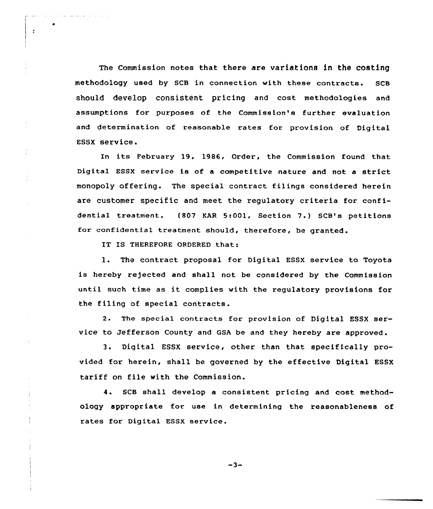The Commission notes that there are variations in the costing methodology used by SCB in connection with these contracts. SCB should develop consistent pricing and cost methodologies and assumptions for purposes of the Commission's further evaluation and determination of reasonable rates for provision of Digital ESSX service,

In its February 19, 1986, Order, the Commission found that Digital ESSX service is of <sup>a</sup> competitive nature and not <sup>a</sup> strict monopoly offering. The special contract filings considered herein are customer specific and meet the regulatory criteria for confidential treatment. (807 KAR 5:001, Section 7.) SCB's petitions for confidential treatment should, therefore, be granted.

IT IS THEREFORE ORDERED that:

٠

 $\ddot{\cdot}$ 

l. The contract proposal for Digital ESSX service to Toyota is hereby rejected and shall not be considered by the Commission until such time as it complies with the requlatory provisions for the filing of special contracts.

2. The special contracts for provision of Digital ESSX service to Jefferson County and GSA be and they hereby are approved .

3. Digital ESSX service, other than that specifically provided for herein, shall be governed by the effective Digital ESSX tariff on file with the Commission.

4. SCB shall develop a consistent pricing and cost methodology appropriate for use in determining the reasonableness of rates for Digital ESSX service.

 $-3-$